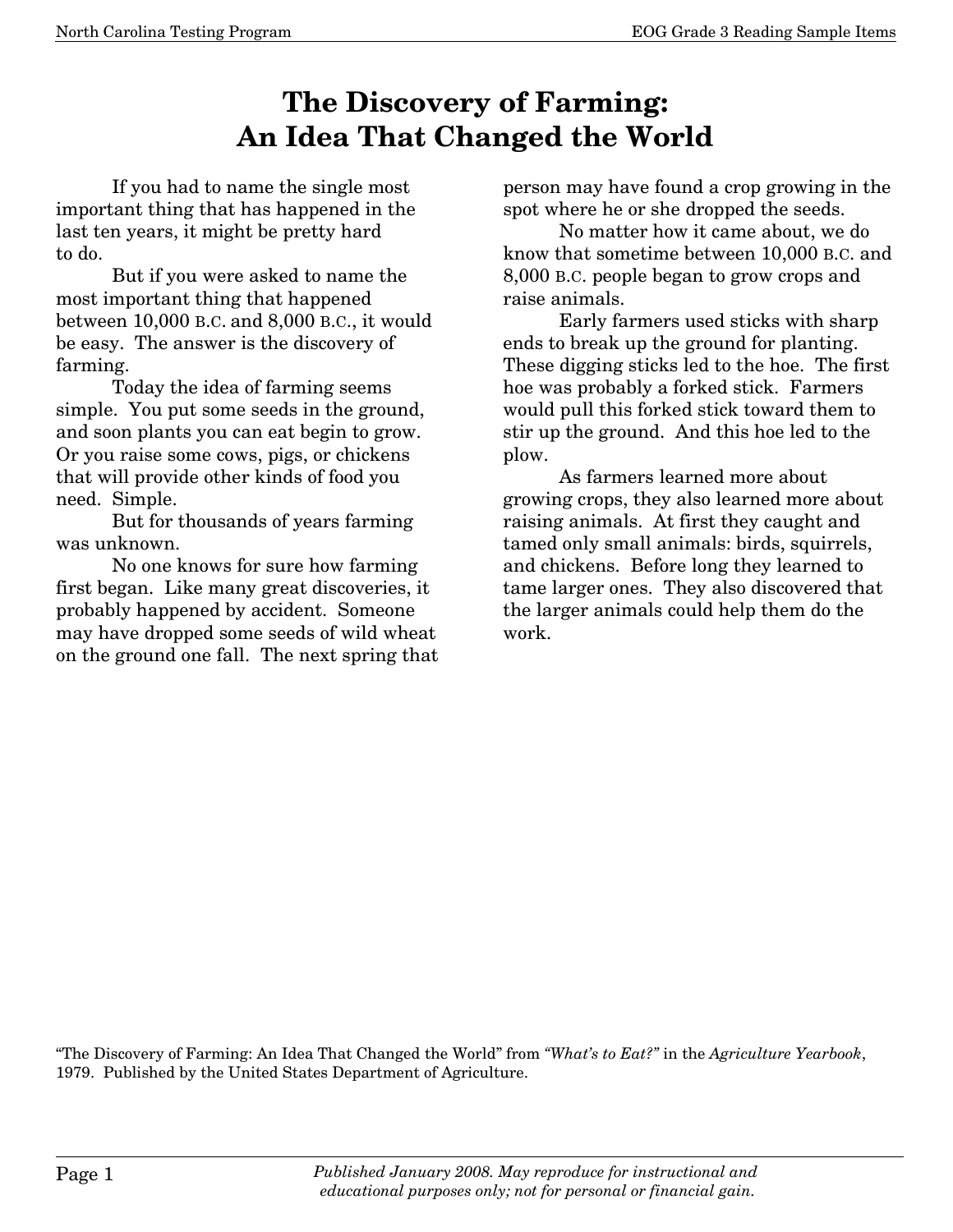## **The Discovery of Farming: An Idea That Changed the World**

If you had to name the single most important thing that has happened in the last ten years, it might be pretty hard to do.

 But if you were asked to name the most important thing that happened between 10,000 B.C. and 8,000 B.C., it would be easy. The answer is the discovery of farming.

Today the idea of farming seems simple. You put some seeds in the ground, and soon plants you can eat begin to grow. Or you raise some cows, pigs, or chickens that will provide other kinds of food you need. Simple.

But for thousands of years farming was unknown.

No one knows for sure how farming first began. Like many great discoveries, it probably happened by accident. Someone may have dropped some seeds of wild wheat on the ground one fall. The next spring that person may have found a crop growing in the spot where he or she dropped the seeds.

No matter how it came about, we do know that sometime between 10,000 B.C. and 8,000 B.C. people began to grow crops and raise animals.

Early farmers used sticks with sharp ends to break up the ground for planting. These digging sticks led to the hoe. The first hoe was probably a forked stick. Farmers would pull this forked stick toward them to stir up the ground. And this hoe led to the plow.

As farmers learned more about growing crops, they also learned more about raising animals. At first they caught and tamed only small animals: birds, squirrels, and chickens. Before long they learned to tame larger ones. They also discovered that the larger animals could help them do the work.

"The Discovery of Farming: An Idea That Changed the World" from *"What's to Eat?"* in the *Agriculture Yearbook*, 1979. Published by the United States Department of Agriculture.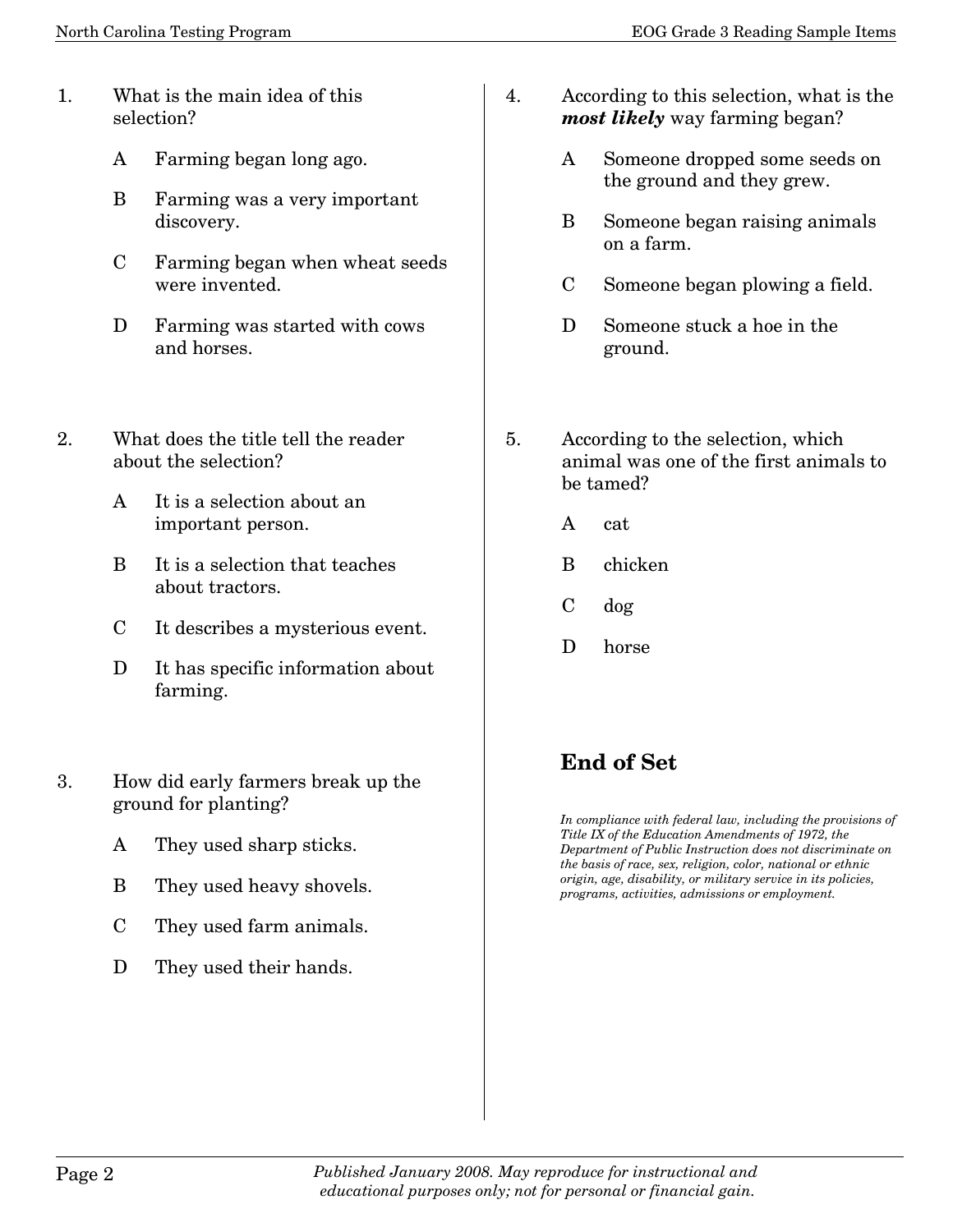- 1. What is the main idea of this selection?
	- A Farming began long ago.
	- B Farming was a very important discovery.
	- C Farming began when wheat seeds were invented.
	- D Farming was started with cows and horses.
- 2. What does the title tell the reader about the selection?
	- A It is a selection about an important person.
	- B It is a selection that teaches about tractors.
	- C It describes a mysterious event.
	- D It has specific information about farming.
- 3. How did early farmers break up the ground for planting?
	- A They used sharp sticks.
	- B They used heavy shovels.
	- C They used farm animals.
	- D They used their hands.
- 4. According to this selection, what is the *most likely* way farming began?
	- A Someone dropped some seeds on the ground and they grew.
	- B Someone began raising animals on a farm.
	- C Someone began plowing a field.
	- D Someone stuck a hoe in the ground.
- 5. According to the selection, which animal was one of the first animals to be tamed?
	- A cat
	- B chicken
	- C dog
	- D horse

## **End of Set**

*In compliance with federal law, including the provisions of Title IX of the Education Amendments of 1972, the Department of Public Instruction does not discriminate on the basis of race, sex, religion, color, national or ethnic origin, age, disability, or military service in its policies, programs, activities, admissions or employment.*